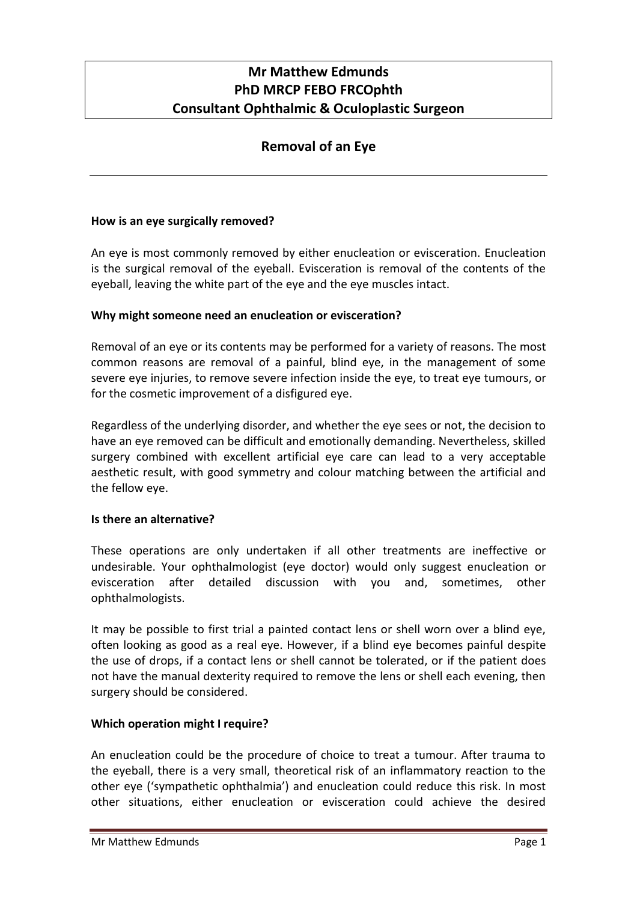# **Mr Matthew Edmunds PhD MRCP FEBO FRCOphth Consultant Ophthalmic & Oculoplastic Surgeon**

# **Removal of an Eye**

## **How is an eye surgically removed?**

An eye is most commonly removed by either enucleation or evisceration. Enucleation is the surgical removal of the eyeball. Evisceration is removal of the contents of the eyeball, leaving the white part of the eye and the eye muscles intact.

## **Why might someone need an enucleation or evisceration?**

Removal of an eye or its contents may be performed for a variety of reasons. The most common reasons are removal of a painful, blind eye, in the management of some severe eye injuries, to remove severe infection inside the eye, to treat eye tumours, or for the cosmetic improvement of a disfigured eye.

Regardless of the underlying disorder, and whether the eye sees or not, the decision to have an eye removed can be difficult and emotionally demanding. Nevertheless, skilled surgery combined with excellent artificial eye care can lead to a very acceptable aesthetic result, with good symmetry and colour matching between the artificial and the fellow eye.

#### **Is there an alternative?**

These operations are only undertaken if all other treatments are ineffective or undesirable. Your ophthalmologist (eye doctor) would only suggest enucleation or evisceration after detailed discussion with you and, sometimes, other ophthalmologists.

It may be possible to first trial a painted contact lens or shell worn over a blind eye, often looking as good as a real eye. However, if a blind eye becomes painful despite the use of drops, if a contact lens or shell cannot be tolerated, or if the patient does not have the manual dexterity required to remove the lens or shell each evening, then surgery should be considered.

#### **Which operation might I require?**

An enucleation could be the procedure of choice to treat a tumour. After trauma to the eyeball, there is a very small, theoretical risk of an inflammatory reaction to the other eye ('sympathetic ophthalmia') and enucleation could reduce this risk. In most other situations, either enucleation or evisceration could achieve the desired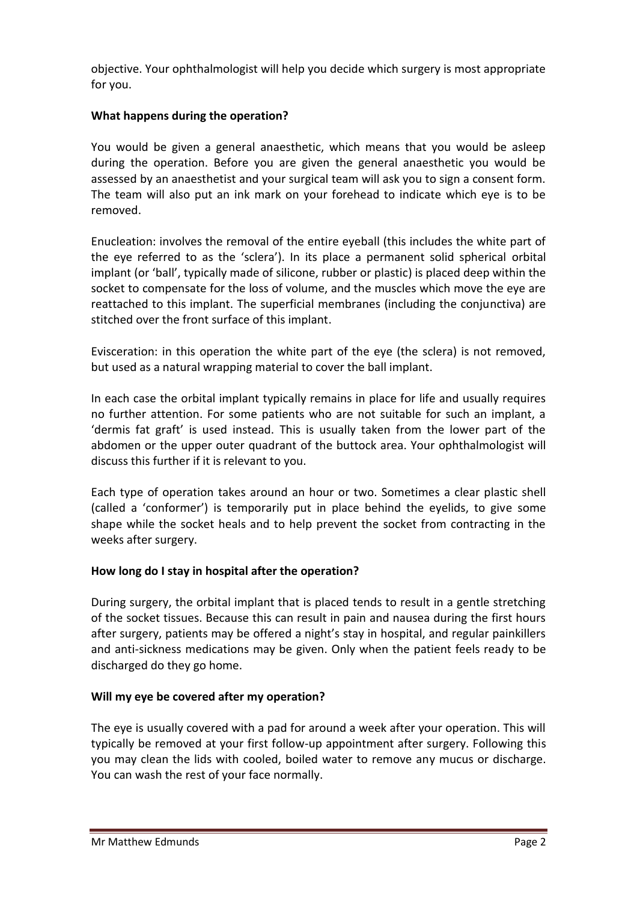objective. Your ophthalmologist will help you decide which surgery is most appropriate for you.

# **What happens during the operation?**

You would be given a general anaesthetic, which means that you would be asleep during the operation. Before you are given the general anaesthetic you would be assessed by an anaesthetist and your surgical team will ask you to sign a consent form. The team will also put an ink mark on your forehead to indicate which eye is to be removed.

Enucleation: involves the removal of the entire eyeball (this includes the white part of the eye referred to as the 'sclera'). In its place a permanent solid spherical orbital implant (or 'ball', typically made of silicone, rubber or plastic) is placed deep within the socket to compensate for the loss of volume, and the muscles which move the eye are reattached to this implant. The superficial membranes (including the conjunctiva) are stitched over the front surface of this implant.

Evisceration: in this operation the white part of the eye (the sclera) is not removed, but used as a natural wrapping material to cover the ball implant.

In each case the orbital implant typically remains in place for life and usually requires no further attention. For some patients who are not suitable for such an implant, a 'dermis fat graft' is used instead. This is usually taken from the lower part of the abdomen or the upper outer quadrant of the buttock area. Your ophthalmologist will discuss this further if it is relevant to you.

Each type of operation takes around an hour or two. Sometimes a clear plastic shell (called a 'conformer') is temporarily put in place behind the eyelids, to give some shape while the socket heals and to help prevent the socket from contracting in the weeks after surgery.

#### **How long do I stay in hospital after the operation?**

During surgery, the orbital implant that is placed tends to result in a gentle stretching of the socket tissues. Because this can result in pain and nausea during the first hours after surgery, patients may be offered a night's stay in hospital, and regular painkillers and anti-sickness medications may be given. Only when the patient feels ready to be discharged do they go home.

#### **Will my eye be covered after my operation?**

The eye is usually covered with a pad for around a week after your operation. This will typically be removed at your first follow-up appointment after surgery. Following this you may clean the lids with cooled, boiled water to remove any mucus or discharge. You can wash the rest of your face normally.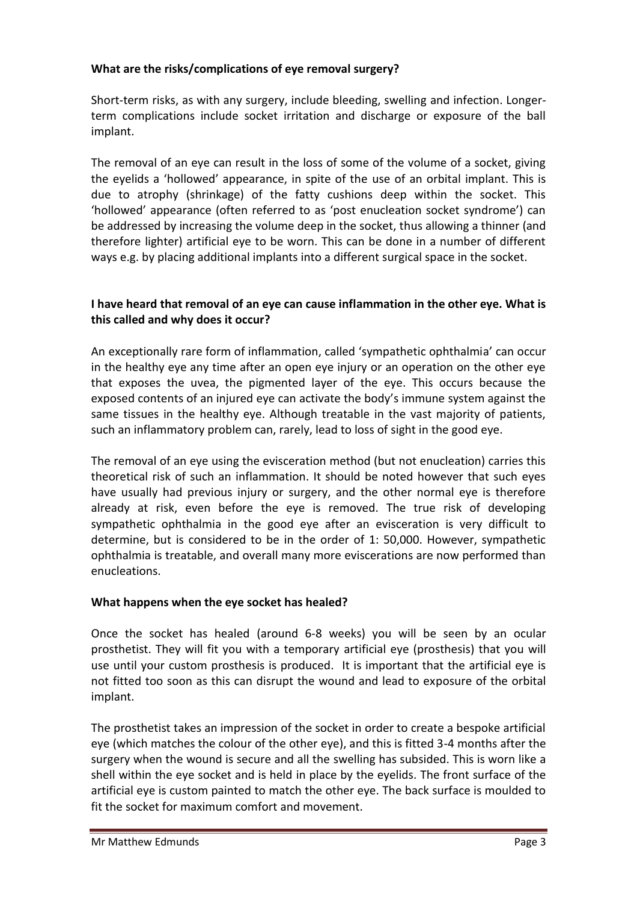# **What are the risks/complications of eye removal surgery?**

Short-term risks, as with any surgery, include bleeding, swelling and infection. Longerterm complications include socket irritation and discharge or exposure of the ball implant.

The removal of an eye can result in the loss of some of the volume of a socket, giving the eyelids a 'hollowed' appearance, in spite of the use of an orbital implant. This is due to atrophy (shrinkage) of the fatty cushions deep within the socket. This 'hollowed' appearance (often referred to as 'post enucleation socket syndrome') can be addressed by increasing the volume deep in the socket, thus allowing a thinner (and therefore lighter) artificial eye to be worn. This can be done in a number of different ways e.g. by placing additional implants into a different surgical space in the socket.

# **I have heard that removal of an eye can cause inflammation in the other eye. What is this called and why does it occur?**

An exceptionally rare form of inflammation, called 'sympathetic ophthalmia' can occur in the healthy eye any time after an open eye injury or an operation on the other eye that exposes the uvea, the pigmented layer of the eye. This occurs because the exposed contents of an injured eye can activate the body's immune system against the same tissues in the healthy eye. Although treatable in the vast majority of patients, such an inflammatory problem can, rarely, lead to loss of sight in the good eye.

The removal of an eye using the evisceration method (but not enucleation) carries this theoretical risk of such an inflammation. It should be noted however that such eyes have usually had previous injury or surgery, and the other normal eye is therefore already at risk, even before the eye is removed. The true risk of developing sympathetic ophthalmia in the good eye after an evisceration is very difficult to determine, but is considered to be in the order of 1: 50,000. However, sympathetic ophthalmia is treatable, and overall many more eviscerations are now performed than enucleations.

# **What happens when the eye socket has healed?**

Once the socket has healed (around 6-8 weeks) you will be seen by an ocular prosthetist. They will fit you with a temporary artificial eye (prosthesis) that you will use until your custom prosthesis is produced. It is important that the artificial eye is not fitted too soon as this can disrupt the wound and lead to exposure of the orbital implant.

The prosthetist takes an impression of the socket in order to create a bespoke artificial eye (which matches the colour of the other eye), and this is fitted 3-4 months after the surgery when the wound is secure and all the swelling has subsided. This is worn like a shell within the eye socket and is held in place by the eyelids. The front surface of the artificial eye is custom painted to match the other eye. The back surface is moulded to fit the socket for maximum comfort and movement.